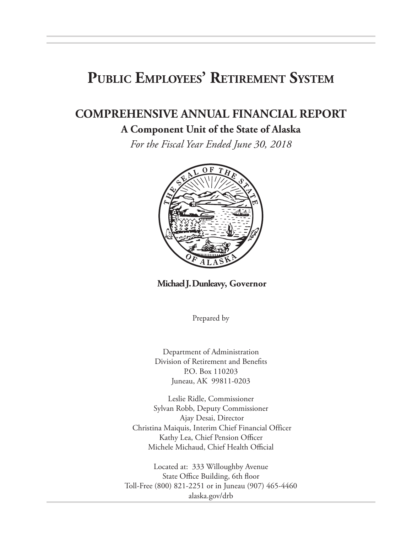# **Public Employees' Retirement System**

# **COMPREHENSIVE ANNUAL FINANCIAL REPORT**

#### **A Component Unit of the State of Alaska**

*For the Fiscal Year Ended June 30, 2018*



**Michael J. Dunleavy, Governor**

Prepared by

Department of Administration Division of Retirement and Benefits P.O. Box 110203 Juneau, AK 99811-0203

Leslie Ridle, Commissioner Sylvan Robb, Deputy Commissioner Ajay Desai, Director Christina Maiquis, Interim Chief Financial Officer Kathy Lea, Chief Pension Officer Michele Michaud, Chief Health Official

Located at: 333 Willoughby Avenue State Office Building, 6th floor Toll-Free (800) 821-2251 or in Juneau (907) 465-4460 alaska.gov/drb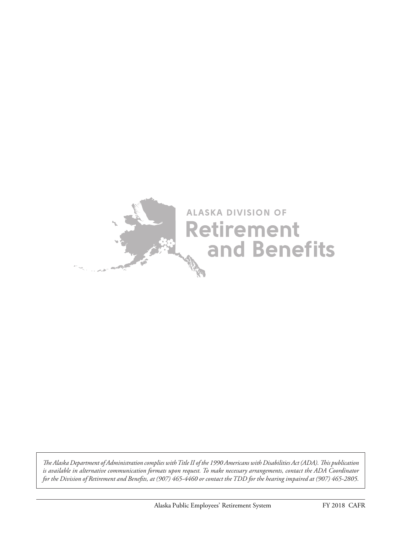

*The Alaska Department of Administration complies with Title II of the 1990 Americans with Disabilities Act (ADA). This publication is available in alternative communication formats upon request. To make necessary arrangements, contact the ADA Coordinator for the Division of Retirement and Benefits, at (907) 465-4460 or contact the TDD for the hearing impaired at (907) 465-2805.*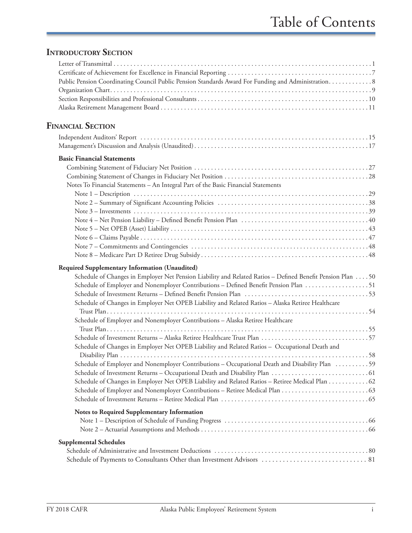## **INTRODUCTORY SECTION**

| Public Pension Coordinating Council Public Pension Standards Award For Funding and Administration8                                                                                                                                                                                                                                                                                                                                                                                                                                                                                                                                                         |
|------------------------------------------------------------------------------------------------------------------------------------------------------------------------------------------------------------------------------------------------------------------------------------------------------------------------------------------------------------------------------------------------------------------------------------------------------------------------------------------------------------------------------------------------------------------------------------------------------------------------------------------------------------|
| <b>FINANCIAL SECTION</b>                                                                                                                                                                                                                                                                                                                                                                                                                                                                                                                                                                                                                                   |
|                                                                                                                                                                                                                                                                                                                                                                                                                                                                                                                                                                                                                                                            |
| <b>Basic Financial Statements</b><br>Notes To Financial Statements - An Integral Part of the Basic Financial Statements                                                                                                                                                                                                                                                                                                                                                                                                                                                                                                                                    |
|                                                                                                                                                                                                                                                                                                                                                                                                                                                                                                                                                                                                                                                            |
|                                                                                                                                                                                                                                                                                                                                                                                                                                                                                                                                                                                                                                                            |
|                                                                                                                                                                                                                                                                                                                                                                                                                                                                                                                                                                                                                                                            |
|                                                                                                                                                                                                                                                                                                                                                                                                                                                                                                                                                                                                                                                            |
|                                                                                                                                                                                                                                                                                                                                                                                                                                                                                                                                                                                                                                                            |
|                                                                                                                                                                                                                                                                                                                                                                                                                                                                                                                                                                                                                                                            |
| Required Supplementary Information (Unaudited)<br>Schedule of Changes in Employer Net Pension Liability and Related Ratios - Defined Benefit Pension Plan 50<br>Schedule of Changes in Employer Net OPEB Liability and Related Ratios - Alaska Retiree Healthcare<br>Schedule of Employer and Nonemployer Contributions - Alaska Retiree Healthcare<br>Schedule of Changes in Employer Net OPEB Liability and Related Ratios - Occupational Death and<br>Schedule of Employer and Nonemployer Contributions - Occupational Death and Disability Plan 59<br>Schedule of Changes in Employer Net OPEB Liability and Related Ratios - Retiree Medical Plan 62 |
| Notes to Required Supplementary Information                                                                                                                                                                                                                                                                                                                                                                                                                                                                                                                                                                                                                |
| <b>Supplemental Schedules</b>                                                                                                                                                                                                                                                                                                                                                                                                                                                                                                                                                                                                                              |